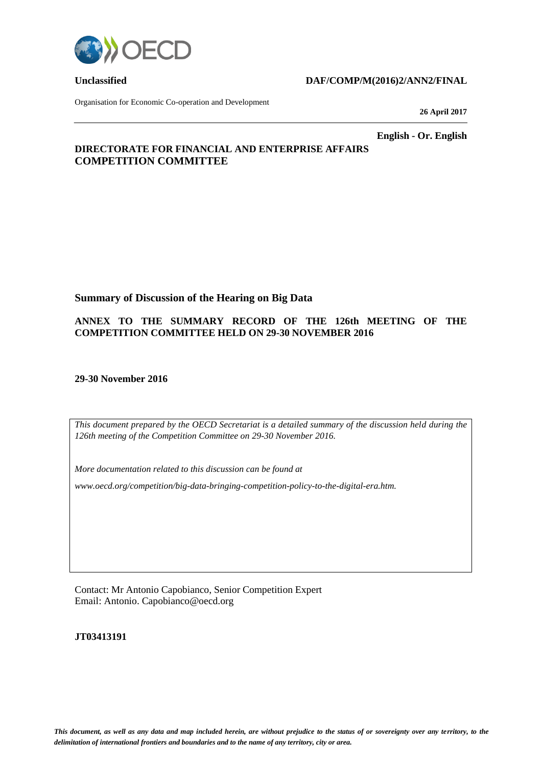

#### **Unclassified DAF/COMP/M(2016)2/ANN2/FINAL**

Organisation for Economic Co-operation and Development

**26 April 2017**

**English - Or. English**

## **DIRECTORATE FOR FINANCIAL AND ENTERPRISE AFFAIRS COMPETITION COMMITTEE**

#### **Summary of Discussion of the Hearing on Big Data**

#### **ANNEX TO THE SUMMARY RECORD OF THE 126th MEETING OF THE COMPETITION COMMITTEE HELD ON 29-30 NOVEMBER 2016**

**29-30 November 2016**

*This document prepared by the OECD Secretariat is a detailed summary of the discussion held during the 126th meeting of the Competition Committee on 29-30 November 2016.*

*More documentation related to this discussion can be found at* 

*www.oecd.org/competition/big-data-bringing-competition-policy-to-the-digital-era.htm.*

Contact: Mr Antonio Capobianco, Senior Competition Expert Email: Antonio. Capobianco@oecd.org

**JT03413191**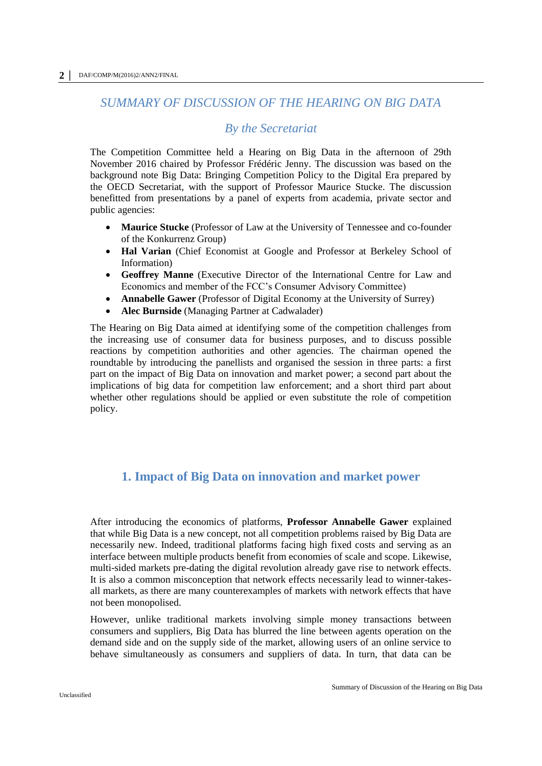# *SUMMARY OF DISCUSSION OF THE HEARING ON BIG DATA*

## *By the Secretariat*

The Competition Committee held a Hearing on Big Data in the afternoon of 29th November 2016 chaired by Professor Frédéric Jenny. The discussion was based on the background note Big Data: Bringing Competition Policy to the Digital Era prepared by the OECD Secretariat, with the support of Professor Maurice Stucke. The discussion benefitted from presentations by a panel of experts from academia, private sector and public agencies:

- **Maurice Stucke** (Professor of Law at the University of Tennessee and co-founder of the Konkurrenz Group)
- **Hal Varian** (Chief Economist at Google and Professor at Berkeley School of Information)
- **Geoffrey Manne** (Executive Director of the International Centre for Law and Economics and member of the FCC's Consumer Advisory Committee)
- **Annabelle Gawer** (Professor of Digital Economy at the University of Surrey)
- **Alec Burnside** (Managing Partner at Cadwalader)

The Hearing on Big Data aimed at identifying some of the competition challenges from the increasing use of consumer data for business purposes, and to discuss possible reactions by competition authorities and other agencies. The chairman opened the roundtable by introducing the panellists and organised the session in three parts: a first part on the impact of Big Data on innovation and market power; a second part about the implications of big data for competition law enforcement; and a short third part about whether other regulations should be applied or even substitute the role of competition policy.

# **1. Impact of Big Data on innovation and market power**

After introducing the economics of platforms, **Professor Annabelle Gawer** explained that while Big Data is a new concept, not all competition problems raised by Big Data are necessarily new. Indeed, traditional platforms facing high fixed costs and serving as an interface between multiple products benefit from economies of scale and scope. Likewise, multi-sided markets pre-dating the digital revolution already gave rise to network effects. It is also a common misconception that network effects necessarily lead to winner-takesall markets, as there are many counterexamples of markets with network effects that have not been monopolised.

However, unlike traditional markets involving simple money transactions between consumers and suppliers, Big Data has blurred the line between agents operation on the demand side and on the supply side of the market, allowing users of an online service to behave simultaneously as consumers and suppliers of data. In turn, that data can be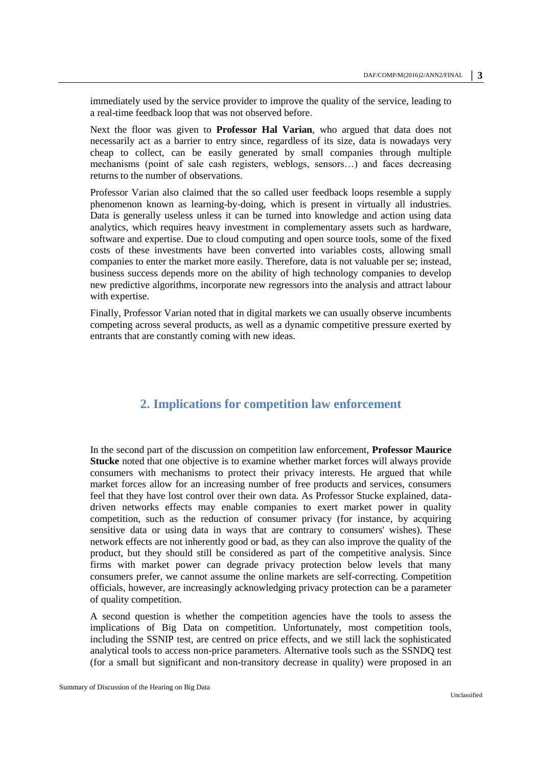immediately used by the service provider to improve the quality of the service, leading to a real-time feedback loop that was not observed before.

Next the floor was given to **Professor Hal Varian**, who argued that data does not necessarily act as a barrier to entry since, regardless of its size, data is nowadays very cheap to collect, can be easily generated by small companies through multiple mechanisms (point of sale cash registers, weblogs, sensors…) and faces decreasing returns to the number of observations.

Professor Varian also claimed that the so called user feedback loops resemble a supply phenomenon known as learning-by-doing, which is present in virtually all industries. Data is generally useless unless it can be turned into knowledge and action using data analytics, which requires heavy investment in complementary assets such as hardware, software and expertise. Due to cloud computing and open source tools, some of the fixed costs of these investments have been converted into variables costs, allowing small companies to enter the market more easily. Therefore, data is not valuable per se; instead, business success depends more on the ability of high technology companies to develop new predictive algorithms, incorporate new regressors into the analysis and attract labour with expertise.

Finally, Professor Varian noted that in digital markets we can usually observe incumbents competing across several products, as well as a dynamic competitive pressure exerted by entrants that are constantly coming with new ideas.

## **2. Implications for competition law enforcement**

In the second part of the discussion on competition law enforcement, **Professor Maurice Stucke** noted that one objective is to examine whether market forces will always provide consumers with mechanisms to protect their privacy interests. He argued that while market forces allow for an increasing number of free products and services, consumers feel that they have lost control over their own data. As Professor Stucke explained, datadriven networks effects may enable companies to exert market power in quality competition, such as the reduction of consumer privacy (for instance, by acquiring sensitive data or using data in ways that are contrary to consumers' wishes). These network effects are not inherently good or bad, as they can also improve the quality of the product, but they should still be considered as part of the competitive analysis. Since firms with market power can degrade privacy protection below levels that many consumers prefer, we cannot assume the online markets are self-correcting. Competition officials, however, are increasingly acknowledging privacy protection can be a parameter of quality competition.

A second question is whether the competition agencies have the tools to assess the implications of Big Data on competition. Unfortunately, most competition tools, including the SSNIP test, are centred on price effects, and we still lack the sophisticated analytical tools to access non-price parameters. Alternative tools such as the SSNDQ test (for a small but significant and non-transitory decrease in quality) were proposed in an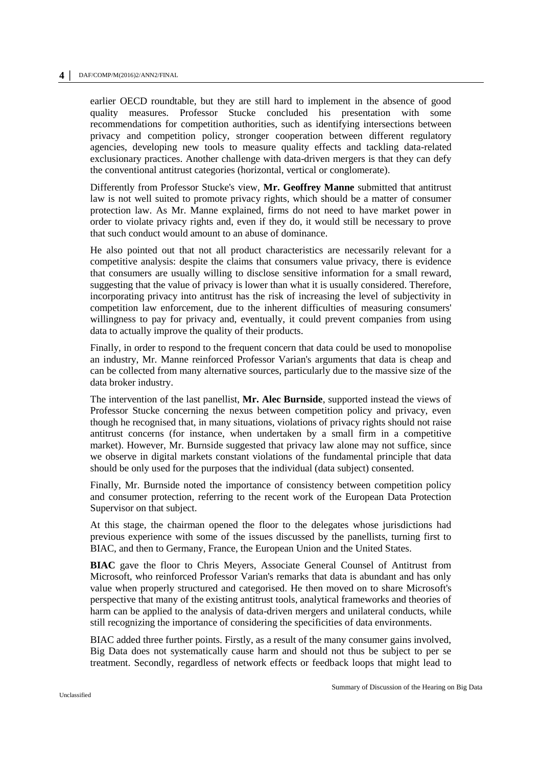earlier OECD roundtable, but they are still hard to implement in the absence of good quality measures. Professor Stucke concluded his presentation with some recommendations for competition authorities, such as identifying intersections between privacy and competition policy, stronger cooperation between different regulatory agencies, developing new tools to measure quality effects and tackling data-related exclusionary practices. Another challenge with data-driven mergers is that they can defy the conventional antitrust categories (horizontal, vertical or conglomerate).

Differently from Professor Stucke's view, **Mr. Geoffrey Manne** submitted that antitrust law is not well suited to promote privacy rights, which should be a matter of consumer protection law. As Mr. Manne explained, firms do not need to have market power in order to violate privacy rights and, even if they do, it would still be necessary to prove that such conduct would amount to an abuse of dominance.

He also pointed out that not all product characteristics are necessarily relevant for a competitive analysis: despite the claims that consumers value privacy, there is evidence that consumers are usually willing to disclose sensitive information for a small reward, suggesting that the value of privacy is lower than what it is usually considered. Therefore, incorporating privacy into antitrust has the risk of increasing the level of subjectivity in competition law enforcement, due to the inherent difficulties of measuring consumers' willingness to pay for privacy and, eventually, it could prevent companies from using data to actually improve the quality of their products.

Finally, in order to respond to the frequent concern that data could be used to monopolise an industry, Mr. Manne reinforced Professor Varian's arguments that data is cheap and can be collected from many alternative sources, particularly due to the massive size of the data broker industry.

The intervention of the last panellist, **Mr. Alec Burnside**, supported instead the views of Professor Stucke concerning the nexus between competition policy and privacy, even though he recognised that, in many situations, violations of privacy rights should not raise antitrust concerns (for instance, when undertaken by a small firm in a competitive market). However, Mr. Burnside suggested that privacy law alone may not suffice, since we observe in digital markets constant violations of the fundamental principle that data should be only used for the purposes that the individual (data subject) consented.

Finally, Mr. Burnside noted the importance of consistency between competition policy and consumer protection, referring to the recent work of the European Data Protection Supervisor on that subject.

At this stage, the chairman opened the floor to the delegates whose jurisdictions had previous experience with some of the issues discussed by the panellists, turning first to BIAC, and then to Germany, France, the European Union and the United States.

**BIAC** gave the floor to Chris Meyers, Associate General Counsel of Antitrust from Microsoft, who reinforced Professor Varian's remarks that data is abundant and has only value when properly structured and categorised. He then moved on to share Microsoft's perspective that many of the existing antitrust tools, analytical frameworks and theories of harm can be applied to the analysis of data-driven mergers and unilateral conducts, while still recognizing the importance of considering the specificities of data environments.

BIAC added three further points. Firstly, as a result of the many consumer gains involved, Big Data does not systematically cause harm and should not thus be subject to per se treatment. Secondly, regardless of network effects or feedback loops that might lead to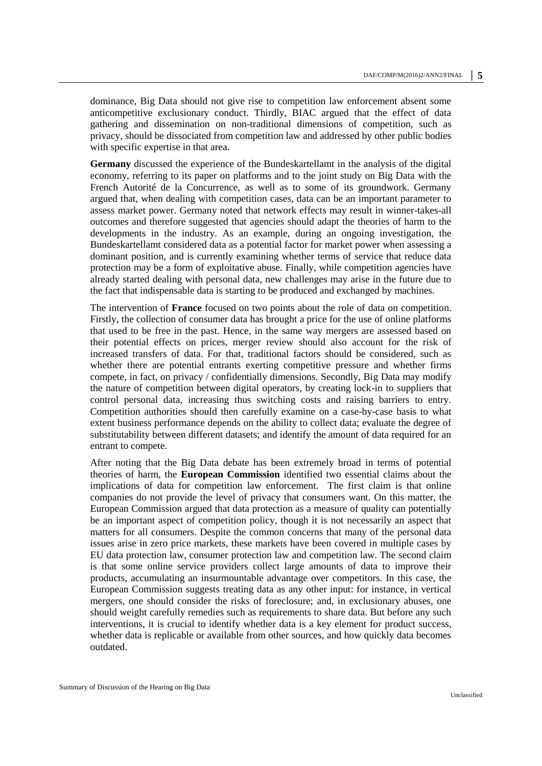dominance, Big Data should not give rise to competition law enforcement absent some anticompetitive exclusionary conduct. Thirdly, BIAC argued that the effect of data gathering and dissemination on non-traditional dimensions of competition, such as privacy, should be dissociated from competition law and addressed by other public bodies with specific expertise in that area.

**Germany** discussed the experience of the Bundeskartellamt in the analysis of the digital economy, referring to its paper on platforms and to the joint study on Big Data with the French Autorité de la Concurrence, as well as to some of its groundwork. Germany argued that, when dealing with competition cases, data can be an important parameter to assess market power. Germany noted that network effects may result in winner-takes-all outcomes and therefore suggested that agencies should adapt the theories of harm to the developments in the industry. As an example, during an ongoing investigation, the Bundeskartellamt considered data as a potential factor for market power when assessing a dominant position, and is currently examining whether terms of service that reduce data protection may be a form of exploitative abuse. Finally, while competition agencies have already started dealing with personal data, new challenges may arise in the future due to the fact that indispensable data is starting to be produced and exchanged by machines.

The intervention of **France** focused on two points about the role of data on competition. Firstly, the collection of consumer data has brought a price for the use of online platforms that used to be free in the past. Hence, in the same way mergers are assessed based on their potential effects on prices, merger review should also account for the risk of increased transfers of data. For that, traditional factors should be considered, such as whether there are potential entrants exerting competitive pressure and whether firms compete, in fact, on privacy / confidentially dimensions. Secondly, Big Data may modify the nature of competition between digital operators, by creating lock-in to suppliers that control personal data, increasing thus switching costs and raising barriers to entry. Competition authorities should then carefully examine on a case-by-case basis to what extent business performance depends on the ability to collect data; evaluate the degree of substitutability between different datasets; and identify the amount of data required for an entrant to compete.

After noting that the Big Data debate has been extremely broad in terms of potential theories of harm, the **European Commission** identified two essential claims about the implications of data for competition law enforcement. The first claim is that online companies do not provide the level of privacy that consumers want. On this matter, the European Commission argued that data protection as a measure of quality can potentially be an important aspect of competition policy, though it is not necessarily an aspect that matters for all consumers. Despite the common concerns that many of the personal data issues arise in zero price markets, these markets have been covered in multiple cases by EU data protection law, consumer protection law and competition law. The second claim is that some online service providers collect large amounts of data to improve their products, accumulating an insurmountable advantage over competitors. In this case, the European Commission suggests treating data as any other input: for instance, in vertical mergers, one should consider the risks of foreclosure; and, in exclusionary abuses, one should weight carefully remedies such as requirements to share data. But before any such interventions, it is crucial to identify whether data is a key element for product success, whether data is replicable or available from other sources, and how quickly data becomes outdated.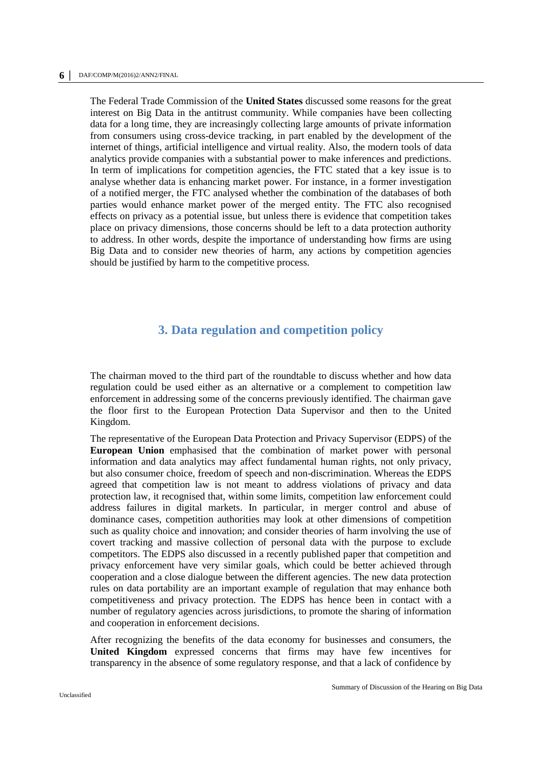The Federal Trade Commission of the **United States** discussed some reasons for the great interest on Big Data in the antitrust community. While companies have been collecting data for a long time, they are increasingly collecting large amounts of private information from consumers using cross-device tracking, in part enabled by the development of the internet of things, artificial intelligence and virtual reality. Also, the modern tools of data analytics provide companies with a substantial power to make inferences and predictions. In term of implications for competition agencies, the FTC stated that a key issue is to analyse whether data is enhancing market power. For instance, in a former investigation of a notified merger, the FTC analysed whether the combination of the databases of both parties would enhance market power of the merged entity. The FTC also recognised effects on privacy as a potential issue, but unless there is evidence that competition takes place on privacy dimensions, those concerns should be left to a data protection authority to address. In other words, despite the importance of understanding how firms are using Big Data and to consider new theories of harm, any actions by competition agencies should be justified by harm to the competitive process.

## **3. Data regulation and competition policy**

The chairman moved to the third part of the roundtable to discuss whether and how data regulation could be used either as an alternative or a complement to competition law enforcement in addressing some of the concerns previously identified. The chairman gave the floor first to the European Protection Data Supervisor and then to the United Kingdom.

The representative of the European Data Protection and Privacy Supervisor (EDPS) of the **European Union** emphasised that the combination of market power with personal information and data analytics may affect fundamental human rights, not only privacy, but also consumer choice, freedom of speech and non-discrimination. Whereas the EDPS agreed that competition law is not meant to address violations of privacy and data protection law, it recognised that, within some limits, competition law enforcement could address failures in digital markets. In particular, in merger control and abuse of dominance cases, competition authorities may look at other dimensions of competition such as quality choice and innovation; and consider theories of harm involving the use of covert tracking and massive collection of personal data with the purpose to exclude competitors. The EDPS also discussed in a recently published paper that competition and privacy enforcement have very similar goals, which could be better achieved through cooperation and a close dialogue between the different agencies. The new data protection rules on data portability are an important example of regulation that may enhance both competitiveness and privacy protection. The EDPS has hence been in contact with a number of regulatory agencies across jurisdictions, to promote the sharing of information and cooperation in enforcement decisions.

After recognizing the benefits of the data economy for businesses and consumers, the **United Kingdom** expressed concerns that firms may have few incentives for transparency in the absence of some regulatory response, and that a lack of confidence by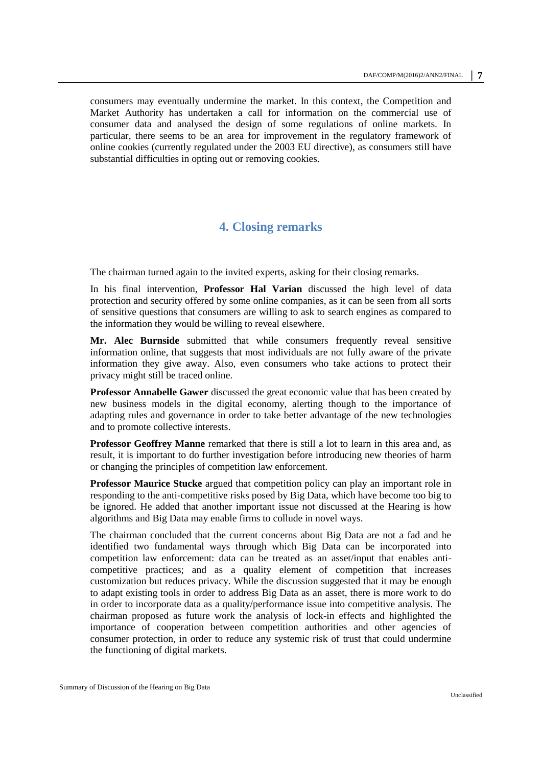consumers may eventually undermine the market. In this context, the Competition and Market Authority has undertaken a call for information on the commercial use of consumer data and analysed the design of some regulations of online markets. In particular, there seems to be an area for improvement in the regulatory framework of online cookies (currently regulated under the 2003 EU directive), as consumers still have substantial difficulties in opting out or removing cookies.

### **4. Closing remarks**

The chairman turned again to the invited experts, asking for their closing remarks.

In his final intervention, **Professor Hal Varian** discussed the high level of data protection and security offered by some online companies, as it can be seen from all sorts of sensitive questions that consumers are willing to ask to search engines as compared to the information they would be willing to reveal elsewhere.

**Mr. Alec Burnside** submitted that while consumers frequently reveal sensitive information online, that suggests that most individuals are not fully aware of the private information they give away. Also, even consumers who take actions to protect their privacy might still be traced online.

**Professor Annabelle Gawer** discussed the great economic value that has been created by new business models in the digital economy, alerting though to the importance of adapting rules and governance in order to take better advantage of the new technologies and to promote collective interests.

**Professor Geoffrey Manne** remarked that there is still a lot to learn in this area and, as result, it is important to do further investigation before introducing new theories of harm or changing the principles of competition law enforcement.

**Professor Maurice Stucke** argued that competition policy can play an important role in responding to the anti-competitive risks posed by Big Data, which have become too big to be ignored. He added that another important issue not discussed at the Hearing is how algorithms and Big Data may enable firms to collude in novel ways.

The chairman concluded that the current concerns about Big Data are not a fad and he identified two fundamental ways through which Big Data can be incorporated into competition law enforcement: data can be treated as an asset/input that enables anticompetitive practices; and as a quality element of competition that increases customization but reduces privacy. While the discussion suggested that it may be enough to adapt existing tools in order to address Big Data as an asset, there is more work to do in order to incorporate data as a quality/performance issue into competitive analysis. The chairman proposed as future work the analysis of lock-in effects and highlighted the importance of cooperation between competition authorities and other agencies of consumer protection, in order to reduce any systemic risk of trust that could undermine the functioning of digital markets.